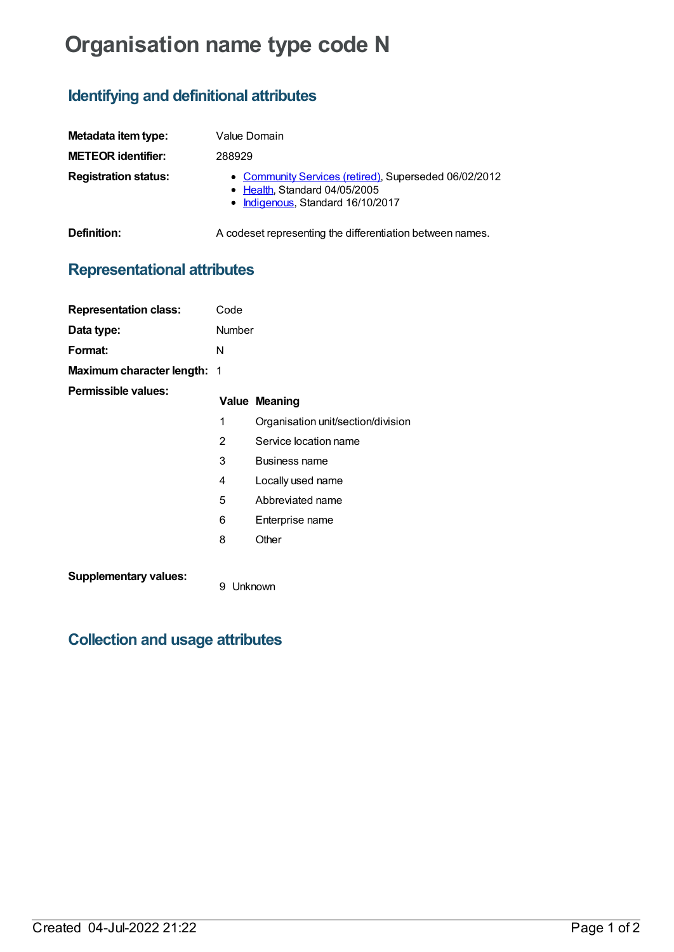# **Organisation name type code N**

## **Identifying and definitional attributes**

| Metadata item type:         | Value Domain                                                                                                                |
|-----------------------------|-----------------------------------------------------------------------------------------------------------------------------|
| <b>METEOR identifier:</b>   | 288929                                                                                                                      |
| <b>Registration status:</b> | • Community Services (retired), Superseded 06/02/2012<br>• Health, Standard 04/05/2005<br>• Indigenous, Standard 16/10/2017 |
| Definition:                 | A codeset representing the differentiation between names.                                                                   |

# **Representational attributes**

| <b>Representation class:</b> | Code           |                                    |
|------------------------------|----------------|------------------------------------|
| Data type:                   | Number         |                                    |
| Format:                      | N              |                                    |
| Maximum character length: 1  |                |                                    |
| Permissible values:          |                | <b>Value Meaning</b>               |
|                              | 1              | Organisation unit/section/division |
|                              | $\overline{2}$ | Service location name              |
|                              | 3              | <b>Business name</b>               |
|                              | 4              | Locally used name                  |
|                              | 5              | Abbreviated name                   |
|                              | 6              | Enterprise name                    |
|                              | 8              | Other                              |
| <b>Supplementary values:</b> |                |                                    |

9 Unknown

### **Collection and usage attributes**